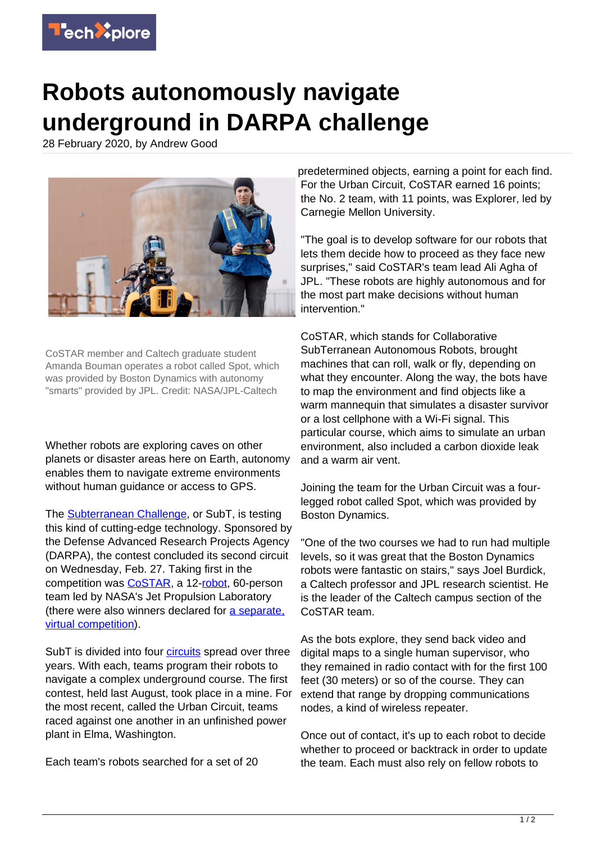

## **Robots autonomously navigate underground in DARPA challenge**

28 February 2020, by Andrew Good



CoSTAR member and Caltech graduate student Amanda Bouman operates a robot called Spot, which was provided by Boston Dynamics with autonomy "smarts" provided by JPL. Credit: NASA/JPL-Caltech

Whether robots are exploring caves on other planets or disaster areas here on Earth, autonomy enables them to navigate extreme environments without human guidance or access to GPS.

The [Subterranean Challenge,](https://www.subtchallenge.com/) or SubT, is testing this kind of cutting-edge technology. Sponsored by the Defense Advanced Research Projects Agency (DARPA), the contest concluded its second circuit on Wednesday, Feb. 27. Taking first in the competition was [CoSTAR,](https://costar.jpl.nasa.gov/) a 12-[robot,](https://techxplore.com/tags/robot/) 60-person team led by NASA's Jet Propulsion Laboratory (there were also winners declared for [a separate,](https://www.darpa.mil/news-events/2020-02-27) [virtual competition\)](https://www.darpa.mil/news-events/2020-02-27).

SubT is divided into four *circuits* spread over three years. With each, teams program their robots to navigate a complex underground course. The first contest, held last August, took place in a mine. For the most recent, called the Urban Circuit, teams raced against one another in an unfinished power plant in Elma, Washington.

Each team's robots searched for a set of 20

predetermined objects, earning a point for each find. For the Urban Circuit, CoSTAR earned 16 points; the No. 2 team, with 11 points, was Explorer, led by Carnegie Mellon University.

"The goal is to develop software for our robots that lets them decide how to proceed as they face new surprises," said CoSTAR's team lead Ali Agha of JPL. "These robots are highly autonomous and for the most part make decisions without human intervention."

CoSTAR, which stands for Collaborative SubTerranean Autonomous Robots, brought machines that can roll, walk or fly, depending on what they encounter. Along the way, the bots have to map the environment and find objects like a warm mannequin that simulates a disaster survivor or a lost cellphone with a Wi-Fi signal. This particular course, which aims to simulate an urban environment, also included a carbon dioxide leak and a warm air vent.

Joining the team for the Urban Circuit was a fourlegged robot called Spot, which was provided by Boston Dynamics.

"One of the two courses we had to run had multiple levels, so it was great that the Boston Dynamics robots were fantastic on stairs," says Joel Burdick, a Caltech professor and JPL research scientist. He is the leader of the Caltech campus section of the CoSTAR team.

As the bots explore, they send back video and digital maps to a single human supervisor, who they remained in radio contact with for the first 100 feet (30 meters) or so of the course. They can extend that range by dropping communications nodes, a kind of wireless repeater.

Once out of contact, it's up to each robot to decide whether to proceed or backtrack in order to update the team. Each must also rely on fellow robots to